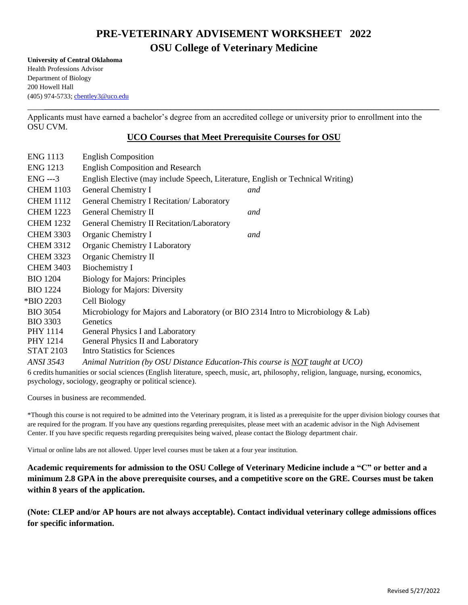# **PRE-VETERINARY ADVISEMENT WORKSHEET 2022 OSU College of Veterinary Medicine**

**University of Central Oklahoma** Health Professions Advisor Department of Biology 200 Howell Hall (405) 974-5733; [cbentley3@uco.edu](mailto:cbentley3@uco.edu)

Applicants must have earned a bachelor's degree from an accredited college or university prior to enrollment into the OSU CVM.

# **UCO Courses that Meet Prerequisite Courses for OSU**

\_\_\_\_**\_\_\_\_\_\_\_\_\_\_\_\_\_\_\_\_\_\_\_\_\_\_\_\_\_\_\_\_\_\_\_\_\_\_\_\_\_\_\_\_\_\_\_\_\_\_\_\_\_\_\_\_\_\_\_\_\_\_\_\_\_\_\_\_\_\_\_\_\_\_\_\_\_\_\_\_\_\_\_\_\_\_\_\_\_\_\_\_\_\_\_\_\_\_**

| <b>ENG 1113</b>                                                                                                                      | <b>English Composition</b>                                                       |     |
|--------------------------------------------------------------------------------------------------------------------------------------|----------------------------------------------------------------------------------|-----|
| <b>ENG 1213</b>                                                                                                                      | <b>English Composition and Research</b>                                          |     |
| $ENG$ ---3                                                                                                                           | English Elective (may include Speech, Literature, English or Technical Writing)  |     |
| <b>CHEM 1103</b>                                                                                                                     | General Chemistry I                                                              | and |
| <b>CHEM 1112</b>                                                                                                                     | General Chemistry I Recitation/ Laboratory                                       |     |
| <b>CHEM 1223</b>                                                                                                                     | General Chemistry II                                                             | and |
| <b>CHEM 1232</b>                                                                                                                     | General Chemistry II Recitation/Laboratory                                       |     |
| <b>CHEM 3303</b>                                                                                                                     | Organic Chemistry I                                                              | and |
| <b>CHEM 3312</b>                                                                                                                     | Organic Chemistry I Laboratory                                                   |     |
| <b>CHEM 3323</b>                                                                                                                     | Organic Chemistry II                                                             |     |
| <b>CHEM 3403</b>                                                                                                                     | Biochemistry I                                                                   |     |
| <b>BIO 1204</b>                                                                                                                      | <b>Biology for Majors: Principles</b>                                            |     |
| <b>BIO 1224</b>                                                                                                                      | <b>Biology for Majors: Diversity</b>                                             |     |
| *BIO 2203                                                                                                                            | Cell Biology                                                                     |     |
| <b>BIO 3054</b>                                                                                                                      | Microbiology for Majors and Laboratory (or BIO 2314 Intro to Microbiology & Lab) |     |
| <b>BIO 3303</b>                                                                                                                      | <b>Genetics</b>                                                                  |     |
| PHY 1114                                                                                                                             | General Physics I and Laboratory                                                 |     |
| PHY 1214                                                                                                                             | General Physics II and Laboratory                                                |     |
| <b>STAT 2103</b>                                                                                                                     | <b>Intro Statistics for Sciences</b>                                             |     |
| <b>ANSI 3543</b>                                                                                                                     | Animal Nutrition (by OSU Distance Education-This course is NOT taught at UCO)    |     |
| 6 credits humanities or social sciences (English literature, speech, music, art, philosophy, religion, language, nursing, economics, |                                                                                  |     |
| psychology, sociology, geography or political science).                                                                              |                                                                                  |     |

Courses in business are recommended.

\*Though this course is not required to be admitted into the Veterinary program, it is listed as a prerequisite for the upper division biology courses that are required for the program. If you have any questions regarding prerequisites, please meet with an academic advisor in the Nigh Advisement Center. If you have specific requests regarding prerequisites being waived, please contact the Biology department chair.

Virtual or online labs are not allowed. Upper level courses must be taken at a four year institution.

**Academic requirements for admission to the OSU College of Veterinary Medicine include a "C" or better and a minimum 2.8 GPA in the above prerequisite courses, and a competitive score on the GRE. Courses must be taken within 8 years of the application.**

**(Note: CLEP and/or AP hours are not always acceptable). Contact individual veterinary college admissions offices for specific information.**